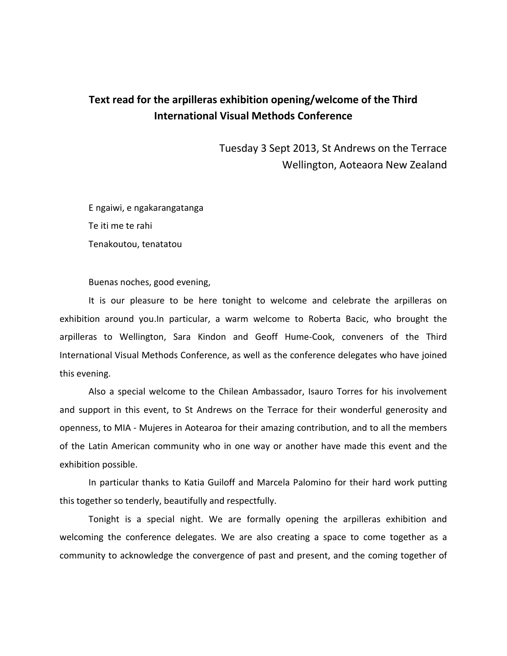## **Text read for the arpilleras exhibition opening/welcome of the Third International Visual Methods Conference**

Tuesday 3 Sept 2013, St Andrews on the Terrace Wellington, Aoteaora New Zealand

E ngaiwi, e ngakarangatanga Te iti me te rahi Tenakoutou, tenatatou

Buenas noches, good evening,

It is our pleasure to be here tonight to welcome and celebrate the arpilleras on exhibition around you.In particular, a warm welcome to Roberta Bacic, who brought the arpilleras to Wellington, Sara Kindon and Geoff Hume-Cook, conveners of the Third International Visual Methods Conference, as well as the conference delegates who have joined this evening.

Also a special welcome to the Chilean Ambassador, Isauro Torres for his involvement and support in this event, to St Andrews on the Terrace for their wonderful generosity and openness, to MIA - Mujeres in Aotearoa for their amazing contribution, and to all the members of the Latin American community who in one way or another have made this event and the exhibition possible.

In particular thanks to Katia Guiloff and Marcela Palomino for their hard work putting this together so tenderly, beautifully and respectfully.

Tonight is a special night. We are formally opening the arpilleras exhibition and welcoming the conference delegates. We are also creating a space to come together as a community to acknowledge the convergence of past and present, and the coming together of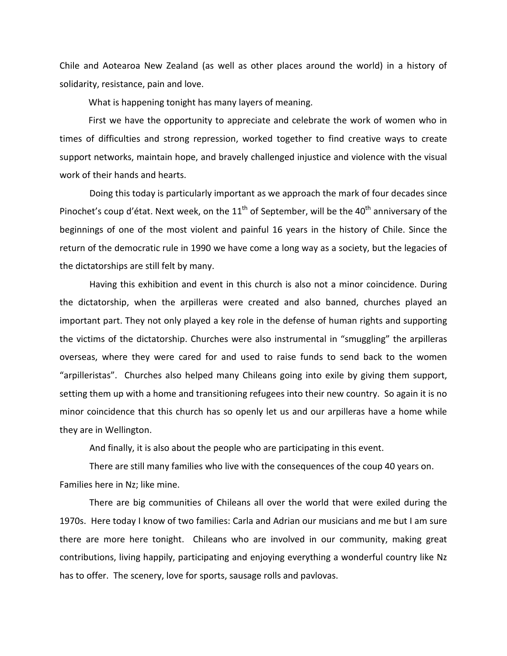Chile and Aotearoa New Zealand (as well as other places around the world) in a history of solidarity, resistance, pain and love.

What is happening tonight has many layers of meaning.

First we have the opportunity to appreciate and celebrate the work of women who in times of difficulties and strong repression, worked together to find creative ways to create support networks, maintain hope, and bravely challenged injustice and violence with the visual work of their hands and hearts.

Doing this today is particularly important as we approach the mark of four decades since Pinochet's coup d'état. Next week, on the  $11<sup>th</sup>$  of September, will be the 40<sup>th</sup> anniversary of the beginnings of one of the most violent and painful 16 years in the history of Chile. Since the return of the democratic rule in 1990 we have come a long way as a society, but the legacies of the dictatorships are still felt by many.

Having this exhibition and event in this church is also not a minor coincidence. During the dictatorship, when the arpilleras were created and also banned, churches played an important part. They not only played a key role in the defense of human rights and supporting the victims of the dictatorship. Churches were also instrumental in "smuggling" the arpilleras overseas, where they were cared for and used to raise funds to send back to the women "arpilleristas". Churches also helped many Chileans going into exile by giving them support, setting them up with a home and transitioning refugees into their new country. So again it is no minor coincidence that this church has so openly let us and our arpilleras have a home while they are in Wellington.

And finally, it is also about the people who are participating in this event.

There are still many families who live with the consequences of the coup 40 years on. Families here in Nz; like mine.

There are big communities of Chileans all over the world that were exiled during the 1970s. Here today I know of two families: Carla and Adrian our musicians and me but I am sure there are more here tonight. Chileans who are involved in our community, making great contributions, living happily, participating and enjoying everything a wonderful country like Nz has to offer. The scenery, love for sports, sausage rolls and pavlovas.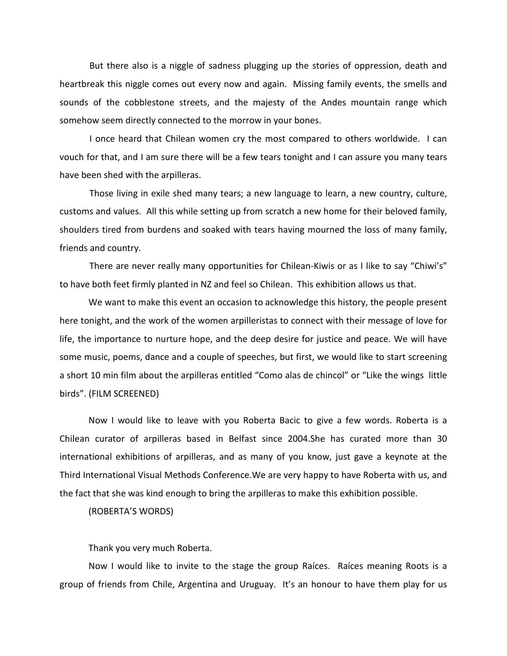But there also is a niggle of sadness plugging up the stories of oppression, death and heartbreak this niggle comes out every now and again. Missing family events, the smells and sounds of the cobblestone streets, and the majesty of the Andes mountain range which somehow seem directly connected to the morrow in your bones.

I once heard that Chilean women cry the most compared to others worldwide. I can vouch for that, and I am sure there will be a few tears tonight and I can assure you many tears have been shed with the arpilleras.

Those living in exile shed many tears; a new language to learn, a new country, culture, customs and values. All this while setting up from scratch a new home for their beloved family, shoulders tired from burdens and soaked with tears having mourned the loss of many family, friends and country.

There are never really many opportunities for Chilean-Kiwis or as I like to say "Chiwi's" to have both feet firmly planted in NZ and feel so Chilean. This exhibition allows us that.

We want to make this event an occasion to acknowledge this history, the people present here tonight, and the work of the women arpilleristas to connect with their message of love for life, the importance to nurture hope, and the deep desire for justice and peace. We will have some music, poems, dance and a couple of speeches, but first, we would like to start screening a short 10 min film about the arpilleras entitled "Como alas de chincol" or "Like the wings little birds". (FILM SCREENED)

Now I would like to leave with you Roberta Bacic to give a few words. Roberta is a Chilean curator of arpilleras based in Belfast since 2004.She has curated more than 30 international exhibitions of arpilleras, and as many of you know, just gave a keynote at the Third International Visual Methods Conference.We are very happy to have Roberta with us, and the fact that she was kind enough to bring the arpilleras to make this exhibition possible.

(ROBERTA'S WORDS)

Thank you very much Roberta.

Now I would like to invite to the stage the group Raíces. Raíces meaning Roots is a group of friends from Chile, Argentina and Uruguay. It's an honour to have them play for us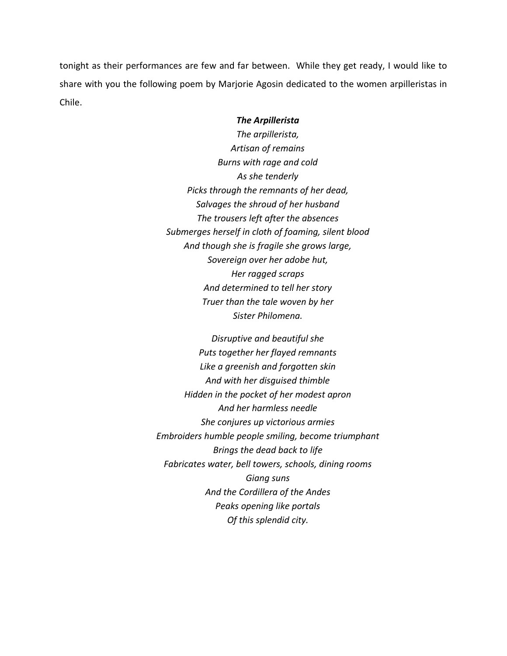tonight as their performances are few and far between. While they get ready, I would like to share with you the following poem by Marjorie Agosin dedicated to the women arpilleristas in Chile.

## *The Arpillerista*

*The arpillerista, Artisan of remains Burns with rage and cold As she tenderly Picks through the remnants of her dead, Salvages the shroud of her husband The trousers left after the absences Submerges herself in cloth of foaming, silent blood And though she is fragile she grows large, Sovereign over her adobe hut, Her ragged scraps And determined to tell her story Truer than the tale woven by her Sister Philomena.*

*Disruptive and beautiful she Puts together her flayed remnants Like a greenish and forgotten skin And with her disguised thimble Hidden in the pocket of her modest apron And her harmless needle She conjures up victorious armies Embroiders humble people smiling, become triumphant Brings the dead back to life Fabricates water, bell towers, schools, dining rooms Giang suns And the Cordillera of the Andes Peaks opening like portals Of this splendid city.*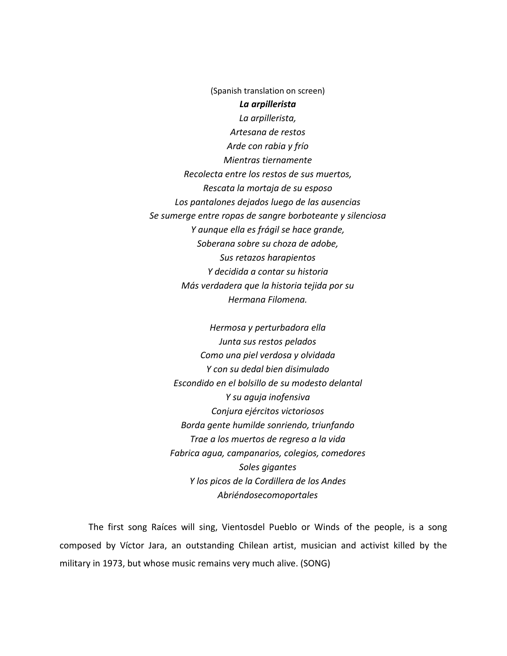(Spanish translation on screen) *La arpillerista La arpillerista, Artesana de restos Arde con rabia y frío Mientras tiernamente Recolecta entre los restos de sus muertos, Rescata la mortaja de su esposo Los pantalones dejados luego de las ausencias Se sumerge entre ropas de sangre borboteante y silenciosa Y aunque ella es frágil se hace grande, Soberana sobre su choza de adobe, Sus retazos harapientos Y decidida a contar su historia Más verdadera que la historia tejida por su Hermana Filomena.*

*Hermosa y perturbadora ella Junta sus restos pelados Como una piel verdosa y olvidada Y con su dedal bien disimulado Escondido en el bolsillo de su modesto delantal Y su aguja inofensiva Conjura ejércitos victoriosos Borda gente humilde sonriendo, triunfando Trae a los muertos de regreso a la vida Fabrica agua, campanarios, colegios, comedores Soles gigantes Y los picos de la Cordillera de los Andes Abriéndosecomoportales*

The first song Raíces will sing, Vientosdel Pueblo or Winds of the people, is a song composed by Víctor Jara, an outstanding Chilean artist, musician and activist killed by the military in 1973, but whose music remains very much alive. (SONG)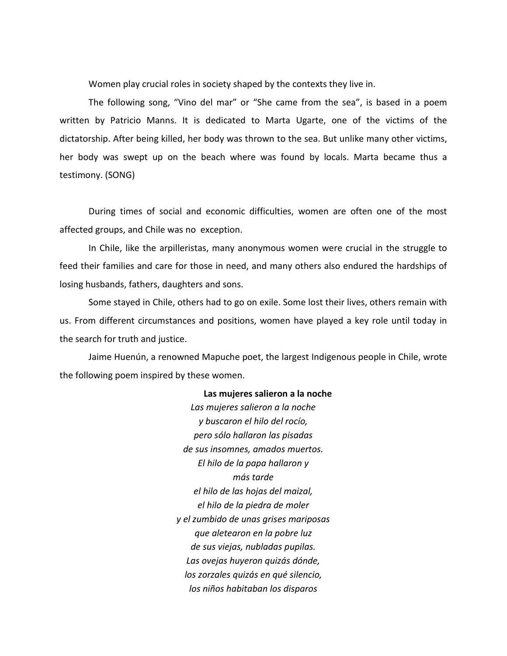Women play crucial roles in society shaped by the contexts they live in.

The following song, "Vino del mar" or "She came from the sea", is based in a poem written by Patricio Manns. It is dedicated to Marta Ugarte, one of the victims of the dictatorship. After being killed, her body was thrown to the sea. But unlike many other victims, her body was swept up on the beach where was found by locals. Marta became thus a testimony. (SONG)

During times of social and economic difficulties, women are often one of the most affected groups, and Chile was no exception.

In Chile, like the arpilleristas, many anonymous women were crucial in the struggle to feed their families and care for those in need, and many others also endured the hardships of losing husbands, fathers, daughters and sons.

Some stayed in Chile, others had to go on exile. Some lost their lives, others remain with us. From different circumstances and positions, women have played a key role until today in the search for truth and justice.

Jaime Huenún, a renowned Mapuche poet, the largest Indigenous people in Chile, wrote the following poem inspired by these women.

## **Las mujeres salieron a la noche**

*Las mujeres salieron a la noche y buscaron el hilo del rocío, pero sólo hallaron las pisadas de sus insomnes, amados muertos. El hilo de la papa hallaron y más tarde el hilo de las hojas del maizal, el hilo de la piedra de moler y el zumbido de unas grises mariposas que aletearon en la pobre luz de sus viejas, nubladas pupilas. Las ovejas huyeron quizás dónde, los zorzales quizás en qué silencio, los niños habitaban los disparos*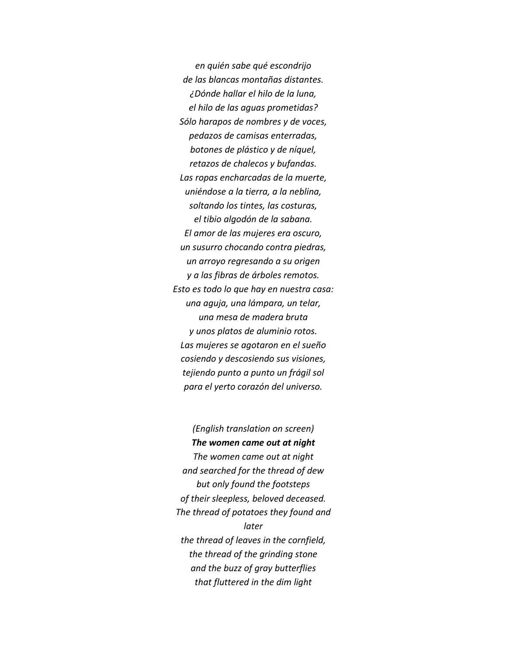*en quién sabe qué escondrijo de las blancas montañas distantes. ¿Dónde hallar el hilo de la luna, el hilo de las aguas prometidas? Sólo harapos de nombres y de voces, pedazos de camisas enterradas, botones de plástico y de níquel, retazos de chalecos y bufandas. Las ropas encharcadas de la muerte, uniéndose a la tierra, a la neblina, soltando los tintes, las costuras, el tibio algodón de la sabana. El amor de las mujeres era oscuro, un susurro chocando contra piedras, un arroyo regresando a su origen y a las fibras de árboles remotos. Esto es todo lo que hay en nuestra casa: una aguja, una lámpara, un telar, una mesa de madera bruta y unos platos de aluminio rotos. Las mujeres se agotaron en el sueño cosiendo y descosiendo sus visiones, tejiendo punto a punto un frágil sol para el yerto corazón del universo.*

*(English translation on screen) The women came out at night The women came out at night and searched for the thread of dew but only found the footsteps of their sleepless, beloved deceased. The thread of potatoes they found and later the thread of leaves in the cornfield, the thread of the grinding stone and the buzz of gray butterflies that fluttered in the dim light*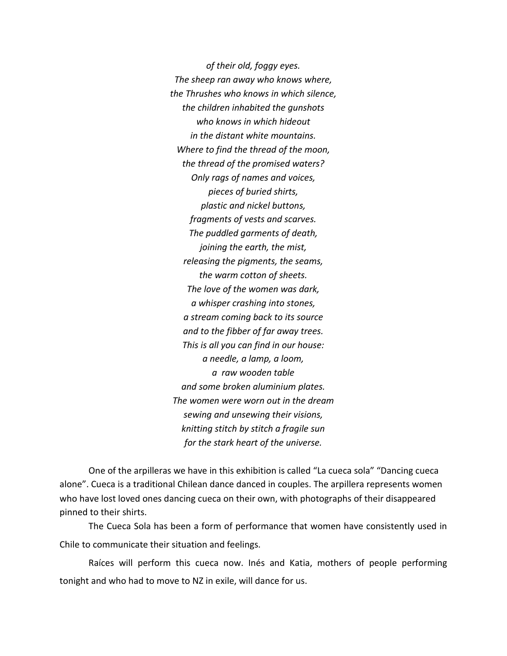*of their old, foggy eyes. The sheep ran away who knows where, the Thrushes who knows in which silence, the children inhabited the gunshots who knows in which hideout in the distant white mountains. Where to find the thread of the moon, the thread of the promised waters? Only rags of names and voices, pieces of buried shirts, plastic and nickel buttons, fragments of vests and scarves. The puddled garments of death, joining the earth, the mist, releasing the pigments, the seams, the warm cotton of sheets. The love of the women was dark, a whisper crashing into stones, a stream coming back to its source and to the fibber of far away trees. This is all you can find in our house: a needle, a lamp, a loom, a raw wooden table and some broken aluminium plates. The women were worn out in the dream sewing and unsewing their visions, knitting stitch by stitch a fragile sun for the stark heart of the universe.*

One of the arpilleras we have in this exhibition is called "La cueca sola" "Dancing cueca alone". Cueca is a traditional Chilean dance danced in couples. The arpillera represents women who have lost loved ones dancing cueca on their own, with photographs of their disappeared pinned to their shirts.

The Cueca Sola has been a form of performance that women have consistently used in Chile to communicate their situation and feelings.

Raíces will perform this cueca now. Inés and Katia, mothers of people performing tonight and who had to move to NZ in exile, will dance for us.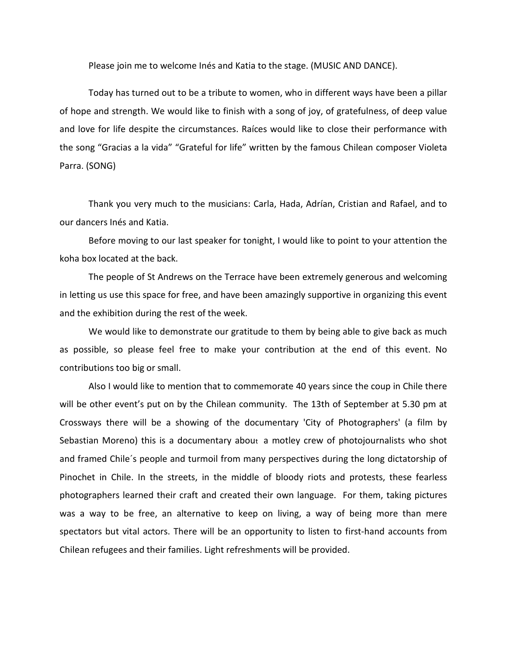Please join me to welcome Inés and Katia to the stage. (MUSIC AND DANCE).

Today has turned out to be a tribute to women, who in different ways have been a pillar of hope and strength. We would like to finish with a song of joy, of gratefulness, of deep value and love for life despite the circumstances. Raíces would like to close their performance with the song "Gracias a la vida" "Grateful for life" written by the famous Chilean composer Violeta Parra. (SONG)

Thank you very much to the musicians: Carla, Hada, Adrían, Cristian and Rafael, and to our dancers Inés and Katia.

Before moving to our last speaker for tonight, I would like to point to your attention the koha box located at the back.

The people of St Andrews on the Terrace have been extremely generous and welcoming in letting us use this space for free, and have been amazingly supportive in organizing this event and the exhibition during the rest of the week.

We would like to demonstrate our gratitude to them by being able to give back as much as possible, so please feel free to make your contribution at the end of this event. No contributions too big or small.

Also I would like to mention that to commemorate 40 years since the coup in Chile there will be other event's put on by the Chilean community. The 13th of September at 5.30 pm at Crossways there will be a showing of the documentary 'City of Photographers' (a film by Sebastian Moreno) this is a documentary about a motley crew of photojournalists who shot and framed Chile´s people and turmoil from many perspectives during the long dictatorship of Pinochet in Chile. In the streets, in the middle of bloody riots and protests, these fearless photographers learned their craft and created their own language. For them, taking pictures was a way to be free, an alternative to keep on living, a way of being more than mere spectators but vital actors. There will be an opportunity to listen to first-hand accounts from Chilean refugees and their families. Light refreshments will be provided.